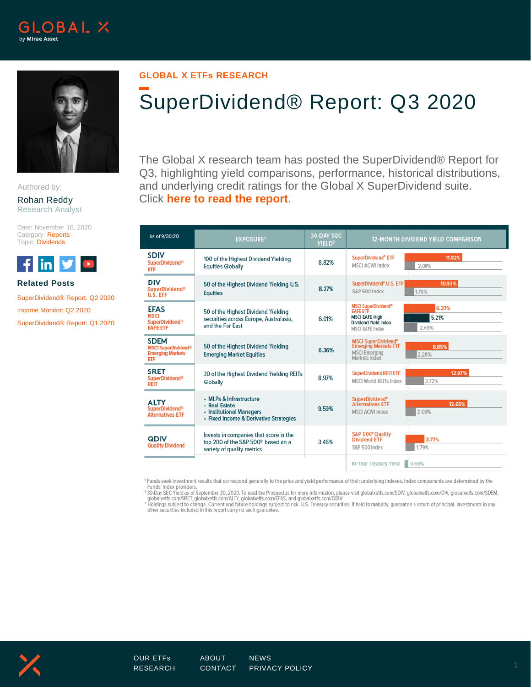



Authored by:

Rohan Reddy Research Analyst

Date: November 16, 2020 Category: Reports Topic: Dividends



## **Related Posts**

[SuperDividend® Report: Q2](https://www.globalxetfs.com/superdividend-report-q2-2020/) 2020

[Income Monitor: Q2](https://www.globalxetfs.com/income-monitor-q2-2020/) 2020

[SuperDividend® Report: Q1 2020](https://www.globalxetfs.com/superdividend-report-q1-2020/)

# **GLOBAL X ETFs RESEARCH**

# SuperDividend® Report: Q3 2020

The Global X research team has posted the SuperDividend® Report for Q3, highlighting yield comparisons, performance, historical distributions, and underlying credit ratings for the Global X SuperDividend suite. Click **[here to read the report](https://www.globalxetfs.com/content/files/SuperDividend-Rpt-Q3-2020.pdf)**.

| As of 9/30/20                                                                          | <b>EXPOSURE1</b>                                                                                                       | <b>30-DAY SEC</b><br>YIELD <sup>2</sup> | <b>12-MONTH DIVIDEND YIELD COMPARISON</b>                                                                                                                  |  |  |
|----------------------------------------------------------------------------------------|------------------------------------------------------------------------------------------------------------------------|-----------------------------------------|------------------------------------------------------------------------------------------------------------------------------------------------------------|--|--|
| <b>SDIV</b><br><b>SuperDividend®</b><br><b>ETF</b>                                     | 100 of the Highest Dividend Yielding<br><b>Equities Globally</b>                                                       | 8.82%                                   | 11.82%<br>SuperDividend <sup>®</sup> ETF<br><b>MSCI ACWI Index</b><br>2.08%                                                                                |  |  |
| <b>DIV</b><br><b>SuperDividend®</b><br>U.S. ETF                                        | 50 of the Highest Dividend Yielding U.S.<br><b>Equities</b>                                                            | 8.27%                                   | 10.93%<br>SuperDividend® U.S. ETF<br>S&P 500 Index<br>1.79%                                                                                                |  |  |
| <b>EFAS</b><br><b>MSCI</b><br><b>SuperDividend®</b><br><b>EAFE ETF</b>                 | 50 of the Highest Dividend Yielding<br>securities across Europe, Australasia,<br>and the Far East                      | 6.01%                                   | <b>MSCI SuperDividend®</b><br>6.27%<br><b>EAFE ETF</b><br><b>MSCI EAFE High</b><br>5.21%<br><b>Dividend Yield Index</b><br>2.69%<br><b>MSCI EAFE Index</b> |  |  |
| <b>SDEM</b><br><b>MSCI SuperDividend<sup>®</sup></b><br><b>Emerging Markets</b><br>ETF | 50 of the Highest Dividend Yielding<br><b>Emerging Market Equities</b>                                                 | 6.36%                                   | MSCI SuperDividend*<br>Emerging Markets ETF<br>8.85%<br><b>MSCI Emerging</b><br>2.28%<br>Markets Index                                                     |  |  |
| <b>SRET</b><br><b>SuperDividend®</b><br><b>REIT</b>                                    | 30 of the Highest Dividend Yielding REITs<br>Globally                                                                  | 8.97%                                   | 12.97%<br><b>SuperDividend REIT ETF</b><br>3.72%<br><b>MSCI World REITs Index</b>                                                                          |  |  |
| <b>ALTY</b><br><b>SuperDividend<sup>®</sup></b><br><b>Alternatives ETF</b>             | • MLPs & Infrastructure<br>• Real Estate<br>• Institutional Managers<br>• Fixed Income & Derivative Strategies         | 9.59%                                   | SuperDividend*<br>12.65%<br><b>Alternatives ETF</b><br>2.08%<br><b>MSCI ACWI Index</b>                                                                     |  |  |
| <b>QDIV</b><br><b>Quality Dividend</b>                                                 | Invests in companies that score in the<br>top 200 of the S&P 500 <sup>®</sup> based on a<br>variety of quality metrics | 3.46%                                   | S&P 500° Quality<br>3.77%<br><b>Dividend ETF</b><br>1.79%<br>S&P 500 Index                                                                                 |  |  |
|                                                                                        |                                                                                                                        |                                         | 10-Year Treasury Yield<br>0.69%                                                                                                                            |  |  |

<sup>1</sup> Funds seek investment results that correspond generally to the price and yield performance of their underlying indexes. Index components are determined by the Funds' index providers.<br>אפו O-Day SEC Yield as of September 30, 2020. To read the Prospectus for more information, please visit globalxetfs.com/SDIV, globalxetfs.com/DIV, globalxetfs.com/SDEM,

globalxetfs.com/SRET, globalxetfs.com/ALTY, globalxetfs.com/EFAS, and globalxetfs.com/QDIV<br>\* Holdings subject to change. Current and future holdings subject to risk. U.S. Treasury securities, if held to maturity, guarantee

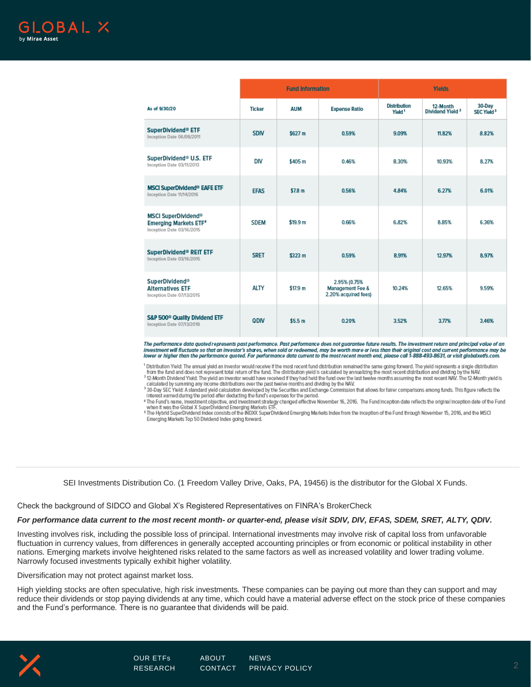|                                                                                                    | <b>Fund Information</b> |                    |                                                          | <b>Yields</b>                             |                                         |                                  |
|----------------------------------------------------------------------------------------------------|-------------------------|--------------------|----------------------------------------------------------|-------------------------------------------|-----------------------------------------|----------------------------------|
| As of 9/30/20                                                                                      | <b>Ticker</b>           | <b>AUM</b>         | <b>Expense Ratio</b>                                     | <b>Distribution</b><br>Yield <sup>1</sup> | 12-Month<br>Dividend Yield <sup>2</sup> | 30-Day<br>SEC Yield <sup>3</sup> |
| SuperDividend® ETF<br>Inception Date 06/08/2011                                                    | <b>SDIV</b>             | \$627 m            | 0.59%                                                    | 9.09%                                     | 11,82%                                  | 8.82%                            |
| SuperDividend® U.S. ETF<br>Inception Date 03/11/2013                                               | DIV                     | \$405 m            | 0.46%                                                    | 8.30%                                     | 10.93%                                  | 8.27%                            |
| <b>MSCI SuperDividend® EAFE ETF</b><br>Inception Date 11/14/2016                                   | <b>EFAS</b>             | \$7.8 m            | 0.56%                                                    | 4.84%                                     | 6.27%                                   | 6.01%                            |
| <b>MSCI SuperDividend®</b><br><b>Emerging Markets ETF<sup>4</sup></b><br>Inception Date 03/16/2015 | <b>SDEM</b>             | \$19.9 m           | 0.66%                                                    | 6.82%                                     | 8.85%                                   | 6.36%                            |
| SuperDividend® REIT ETF<br>Inception Date 03/16/2015                                               | <b>SRET</b>             | \$323 m            | 0.59%                                                    | 8.91%                                     | 12.97%                                  | 8.97%                            |
| <b>SuperDividend®</b><br><b>Alternatives ETF</b><br>Inception Date 07/13/2015                      | <b>ALTY</b>             | \$17.9 m           | 2.95% (0.75%<br>Management Fee &<br>2.20% acquired fees) | 10.24%                                    | 12.65%                                  | 9.59%                            |
| S&P 500 <sup>®</sup> Quality Dividend ETF<br>Inception Date 07/13/2018                             | QDIV                    | \$5.5 <sub>m</sub> | 0.20%                                                    | 3.52%                                     | 3.77%                                   | 3.46%                            |

The performance data quoted represents past performance. Past performance does not guarantee future results. The investment return and principal value of an investment will fluctuate so that an investor's shares, when sold or redeemed, may be worth more or less than their original cost and current performance may be<br>lower or higher than the performance quoted. For performance

<sup>1</sup> Distribution Yield: The annual yield an investor would receive if the most recent fund distribution remained the same going forward. The yield represents a single distribution from the fund and does not represent total return of the fund. The distribution yield is calculated by annualizing the most recent distribution and dividing by the NAV.<br><sup>2</sup> 12-Month Dividend Yield: The yield an investor wo

calculated by summing any income distributions over the past twelve months and dividing by the NAV.<br>30 Day SEC Yield: A standard yield calculation developed by the Securities and Exchange Commission that allows for fairer

Interest earned during the period after deducting the fund's expenses for the period.

The Fund's name, investment objective, and investment strategy changed effective. November 16, 2016. The Fund inception date reflects the original inception date of the Fund<br>when it was the Global X SuperDividend Emerging

5 The Hybrid SuperDividend Index consists of the INDXX SuperDividend Emerging Markets Index from the Inception of the Fund through November 15, 2016, and the MSCI Emerging Markets Top 50 Dividend Index going forward.

SEI Investments Distribution Co. (1 Freedom Valley Drive, Oaks, PA, 19456) is the distributor for the Global X Funds.

Check the background of SIDCO and Global X's Registered Representatives on FINRA's [BrokerCheck](http://brokercheck.finra.org/)

#### *For performance data current to the most recent month- or quarter-end, please visit [SDIV,](https://www.globalxfunds.com/funds/sdiv/) [DIV,](https://www.globalxfunds.com/funds/div/) [EFAS,](https://www.globalxfunds.com/funds/efas/) [SDEM,](https://www.globalxfunds.com/funds/sdem/) [SRET,](https://www.globalxfunds.com/funds/sret/) [ALTY,](https://www.globalxfunds.com/funds/alty/) [QDIV.](https://www.globalxfunds.com/funds/qdiv/)*

Investing involves risk, including the possible loss of principal. International investments may involve risk of capital loss from unfavorable fluctuation in currency values, from differences in generally accepted accounting principles or from economic or political instability in other nations. Emerging markets involve heightened risks related to the same factors as well as increased volatility and lower trading volume. Narrowly focused investments typically exhibit higher volatility.

Diversification may not protect against market loss.

High yielding stocks are often speculative, high risk investments. These companies can be paying out more than they can support and may reduce their dividends or stop paying dividends at any time, which could have a material adverse effect on the stock price of these companies and the Fund's performance. There is no guarantee that dividends will be paid.